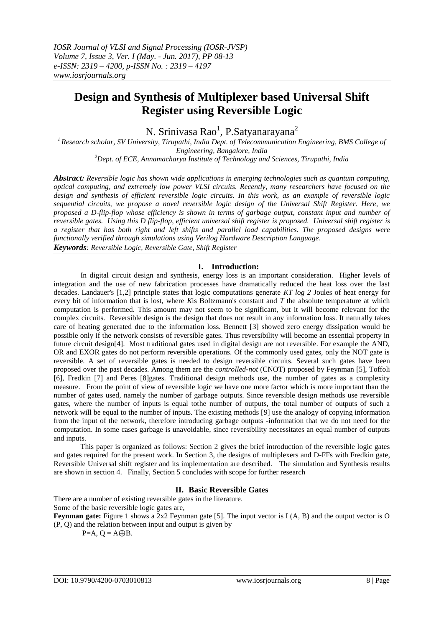# **Design and Synthesis of Multiplexer based Universal Shift Register using Reversible Logic**

N. Srinivasa Rao<sup>1</sup>, P.Satyanarayana<sup>2</sup>

*<sup>1</sup>Research scholar, SV University, Tirupathi, India Dept. of Telecommunication Engineering, BMS College of Engineering, Bangalore, India <sup>2</sup>Dept. of ECE, Annamacharya Institute of Technology and Sciences, Tirupathi, India*

*Abstract: Reversible logic has shown wide applications in emerging technologies such as quantum computing, optical computing, and extremely low power VLSI circuits. Recently, many researchers have focused on the design and synthesis of efficient reversible logic circuits. In this work, as an example of reversible logic sequential circuits, we propose a novel reversible logic design of the Universal Shift Register. Here, we proposed a D-flip-flop whose efficiency is shown in terms of garbage output, constant input and number of reversible gates. Using this D flip-flop, efficient universal shift register is proposed. Universal shift register is a register that has both right and left shifts and parallel load capabilities. The proposed designs were functionally verified through simulations using Verilog Hardware Description Language. Keywords: Reversible Logic, Reversible Gate, Shift Register*

## **I. Introduction:**

In digital circuit design and synthesis, energy loss is an important consideration. Higher levels of integration and the use of new fabrication processes have dramatically reduced the heat loss over the last decades. Landauer's [1,2] principle states that logic computations generate *KT log 2* Joules of heat energy for every bit of information that is lost, where *K*is Boltzmann's constant and *T* the absolute temperature at which computation is performed. This amount may not seem to be significant, but it will become relevant for the complex circuits. Reversible design is the design that does not result in any information loss. It naturally takes care of heating generated due to the information loss. Bennett [3] showed zero energy dissipation would be possible only if the network consists of reversible gates. Thus reversibility will become an essential property in future circuit design[4]. Most traditional gates used in digital design are not reversible. For example the AND, OR and EXOR gates do not perform reversible operations. Of the commonly used gates, only the NOT gate is reversible. A set of reversible gates is needed to design reversible circuits. Several such gates have been proposed over the past decades. Among them are the *controlled-not* (CNOT) proposed by Feynman [5], Toffoli [6], Fredkin [7] and Peres [8]gates. Traditional design methods use, the number of gates as a complexity measure. From the point of view of reversible logic we have one more factor which is more important than the number of gates used, namely the number of garbage outputs. Since reversible design methods use reversible gates, where the number of inputs is equal tothe number of outputs, the total number of outputs of such a network will be equal to the number of inputs. The existing methods [9] use the analogy of copying information from the input of the network, therefore introducing garbage outputs -information that we do not need for the computation. In some cases garbage is unavoidable, since reversibility necessitates an equal number of outputs and inputs.

This paper is organized as follows: Section 2 gives the brief introduction of the reversible logic gates and gates required for the present work. In Section 3, the designs of multiplexers and D-FFs with Fredkin gate, Reversible Universal shift register and its implementation are described. The simulation and Synthesis results are shown in section 4. Finally, Section 5 concludes with scope for further research

# **II. Basic Reversible Gates**

There are a number of existing reversible gates in the literature.

Some of the basic reversible logic gates are,

**Feynman gate:** Figure 1 shows a 2x2 Feynman gate [5]. The input vector is I (A, B) and the output vector is O (P, Q) and the relation between input and output is given by

 $P=A, Q = A \bigoplus B$ .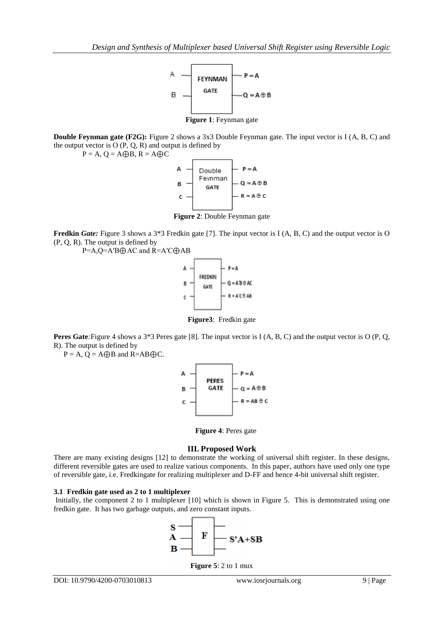

**Figure 1**: Feynman gate

**Double Feynman gate (F2G):** Figure 2 shows a 3x3 Double Feynman gate. The input vector is I (A, B, C) and the output vector is  $O(P, Q, R)$  and output is defined by





**Figure 2**: Double Feynman gate

**Fredkin** *Gate:* Figure 3 shows a 3\*3 Fredkin gate [7]. The input vector is I (A, B, C) and the output vector is O (P, Q, R). The output is defined by

P=A,Q=A′B⊕AC and R=A′C⊕AB



**Figure3**: Fredkin gate

Peres Gate: Figure 4 shows a 3\*3 Peres gate [8]. The input vector is I (A, B, C) and the output vector is O (P, Q, R). The output is defined by

 $P = A$ ,  $Q = A \oplus B$  and  $R = AB \oplus C$ .





# **III. Proposed Work**

There are many existing designs [12] to demonstrate the working of universal shift register. In these designs, different reversible gates are used to realize various components. In this paper, authors have used only one type of reversible gate, i.e. Fredkingate for realizing multiplexer and D-FF and hence 4-bit universal shift register.

#### **3.1 Fredkin gate used as 2 to 1 multiplexer**

Initially, the component 2 to 1 multiplexer [10] which is shown in Figure 5. This is demonstrated using one fredkin gate. It has two garbage outputs, and zero constant inputs.



**Figure 5**: 2 to 1 mux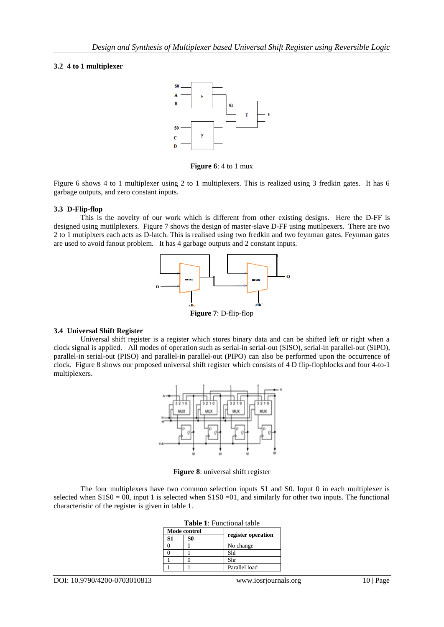## **3.2 4 to 1 multiplexer**



**Figure 6**: 4 to 1 mux

Figure 6 shows 4 to 1 multiplexer using 2 to 1 multiplexers. This is realized using 3 fredkin gates. It has 6 garbage outputs, and zero constant inputs.

#### **3.3 D-Flip-flop**

This is the novelty of our work which is different from other existing designs. Here the D-FF is designed using mutilplexers. Figure 7 shows the design of master-slave D-FF using mutilpexers. There are two 2 to 1 mutiplxers each acts as D-latch. This is realised using two fredkin and two feynman gates. Feynman gates are used to avoid fanout problem. It has 4 garbage outputs and 2 constant inputs.



#### **3.4 Universal Shift Register**

Universal shift register is a register which stores binary data and can be shifted left or right when a clock signal is applied. All modes of operation such as serial-in serial-out (SISO), serial-in parallel-out (SIPO), parallel-in serial-out (PISO) and parallel-in parallel-out (PIPO) can also be performed upon the occurrence of clock. Figure 8 shows our proposed universal shift register which consists of 4 D flip-flopblocks and four 4-to-1 multiplexers.



**Figure 8**: universal shift register

The four multiplexers have two common selection inputs S1 and S0. Input 0 in each multiplexer is selected when  $S1S0 = 00$ , input 1 is selected when  $S1S0 = 01$ , and similarly for other two inputs. The functional characteristic of the register is given in table 1.

| <b>Tavic 1.</b> I anchonal table |    |                    |
|----------------------------------|----|--------------------|
| Mode control                     |    |                    |
| S <sub>1</sub>                   | S0 | register operation |
|                                  |    | No change          |
|                                  |    | Shl                |
|                                  |    | Shr                |
|                                  |    | Parallel load      |

**Table 1**: Functional table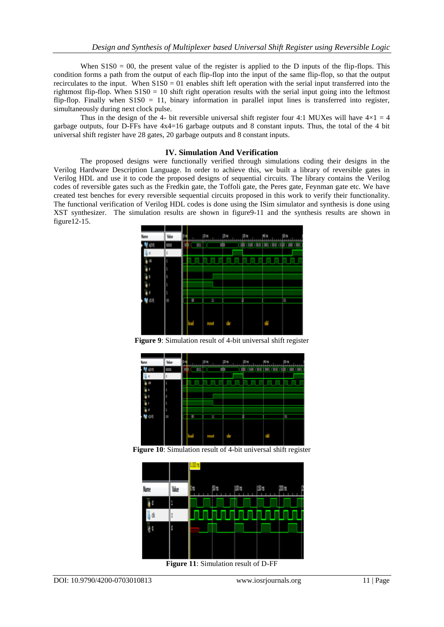When  $S1S0 = 00$ , the present value of the register is applied to the D inputs of the flip-flops. This condition forms a path from the output of each flip-flop into the input of the same flip-flop, so that the output recirculates to the input. When S1S0 = 01 enables shift left operation with the serial input transferred into the rightmost flip-flop. When  $S1S0 = 10$  shift right operation results with the serial input going into the leftmost flip-flop. Finally when  $S1S0 = 11$ , binary information in parallel input lines is transferred into register, simultaneously during next clock pulse.

Thus in the design of the 4- bit reversible universal shift register four 4:1 MUXes will have  $4\times1=4$ garbage outputs, four D-FFs have 4x4=16 garbage outputs and 8 constant inputs. Thus, the total of the 4 bit universal shift register have 28 gates, 20 garbage outputs and 8 constant inputs.

## **IV. Simulation And Verification**

The proposed designs were functionally verified through simulations coding their designs in the Verilog Hardware Description Language. In order to achieve this, we built a library of reversible gates in Verilog HDL and use it to code the proposed designs of sequential circuits. The library contains the Verilog codes of reversible gates such as the Fredkin gate, the Toffoli gate, the Peres gate, Feynman gate etc. We have created test benches for every reversible sequential circuits proposed in this work to verify their functionality. The functional verification of Verilog HDL codes is done using the ISim simulator and synthesis is done using XST synthesizer. The simulation results are shown in figure9-11 and the synthesis results are shown in figure12-15.



**Figure 9**: Simulation result of 4-bit universal shift register



**Figure 10**: Simulation result of 4-bit universal shift register



**Figure 11**: Simulation result of D-FF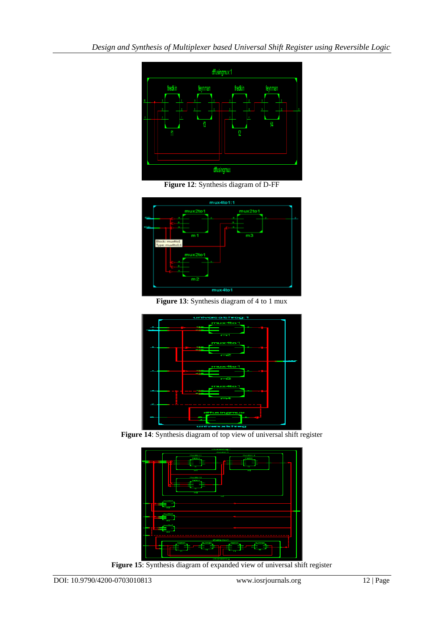

**Figure 12**: Synthesis diagram of D-FF



**Figure 13**: Synthesis diagram of 4 to 1 mux



**Figure 14**: Synthesis diagram of top view of universal shift register



**Figure 15**: Synthesis diagram of expanded view of universal shift register